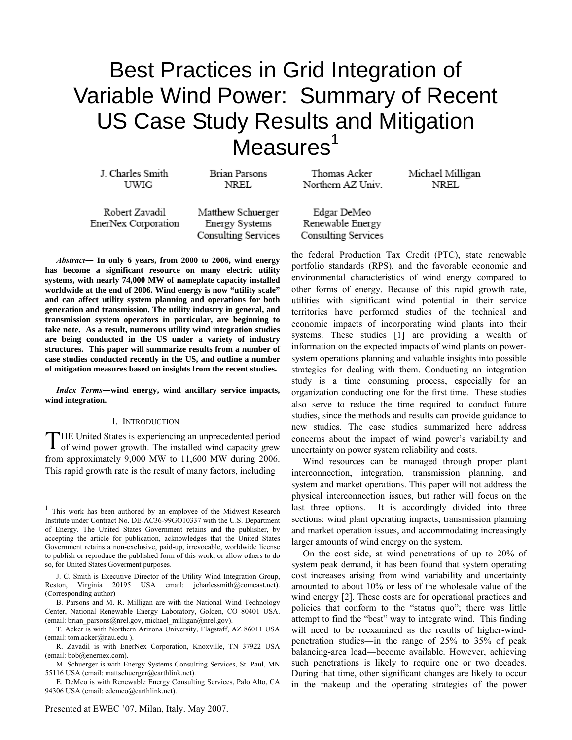# Best Practices in Grid Integration of Variable Wind Power: Summary of Recent US Case Study Results and Mitigation Measures $1$

J. Charles Smith **UWIG** 

Brian Parsons **NREL** 

Robert Zavadil EnerNex Corporation Matthew Schuerger Energy Systems Consulting Services

*Abstract―* **In only 6 years, from 2000 to 2006, wind energy has become a significant resource on many electric utility systems, with nearly 74,000 MW of nameplate capacity installed worldwide at the end of 2006. Wind energy is now "utility scale" and can affect utility system planning and operations for both generation and transmission. The utility industry in general, and transmission system operators in particular, are beginning to take note. As a result, numerous utility wind integration studies are being conducted in the US under a variety of industry structures. This paper will summarize results from a number of case studies conducted recently in the US, and outline a number of mitigation measures based on insights from the recent studies.** 

*Index Terms―***wind energy, wind ancillary service impacts, wind integration.** 

# I. INTRODUCTION

1

HE United States is experiencing an unprecedented period THE United States is experiencing an unprecedented period of wind power growth. The installed wind capacity grew from approximately 9,000 MW to 11,600 MW during 2006. This rapid growth rate is the result of many factors, including

Thomas Acker Northern AZ Univ. Michael Milligan **NREL** 

Edgar DeMeo Renewable Energy **Consulting Services** 

the federal Production Tax Credit (PTC), state renewable portfolio standards (RPS), and the favorable economic and environmental characteristics of wind energy compared to other forms of energy. Because of this rapid growth rate, utilities with significant wind potential in their service territories have performed studies of the technical and economic impacts of incorporating wind plants into their systems. These studies [1] are providing a wealth of information on the expected impacts of wind plants on powersystem operations planning and valuable insights into possible strategies for dealing with them. Conducting an integration study is a time consuming process, especially for an organization conducting one for the first time. These studies also serve to reduce the time required to conduct future studies, since the methods and results can provide guidance to new studies. The case studies summarized here address concerns about the impact of wind power's variability and uncertainty on power system reliability and costs.

Wind resources can be managed through proper plant interconnection, integration, transmission planning, and system and market operations. This paper will not address the physical interconnection issues, but rather will focus on the last three options. It is accordingly divided into three sections: wind plant operating impacts, transmission planning and market operation issues, and accommodating increasingly larger amounts of wind energy on the system.

On the cost side, at wind penetrations of up to 20% of system peak demand, it has been found that system operating cost increases arising from wind variability and uncertainty amounted to about 10% or less of the wholesale value of the wind energy [2]. These costs are for operational practices and policies that conform to the "status quo"; there was little attempt to find the "best" way to integrate wind. This finding will need to be reexamined as the results of higher-windpenetration studies―in the range of 25% to 35% of peak balancing-area load―become available. However, achieving such penetrations is likely to require one or two decades. During that time, other significant changes are likely to occur in the makeup and the operating strategies of the power

<sup>&</sup>lt;sup>1</sup> This work has been authored by an employee of the Midwest Research Institute under Contract No. DE-AC36-99GO10337 with the U.S. Department of Energy. The United States Government retains and the publisher, by accepting the article for publication, acknowledges that the United States Government retains a non-exclusive, paid-up, irrevocable, worldwide license to publish or reproduce the published form of this work, or allow others to do so, for United States Goverment purposes.

J. C. Smith is Executive Director of the Utility Wind Integration Group, Reston, Virginia 20195 USA email: jcharlessmith@comcast.net). (Corresponding author)

B. Parsons and M. R. Milligan are with the National Wind Technology Center, National Renewable Energy Laboratory, Golden, CO 80401 USA. (email: brian\_parsons@nrel.gov, michael\_milligan@nrel.gov).

T. Acker is with Northern Arizona University, Flagstaff, AZ 86011 USA (email: tom.acker@nau.edu ).

R. Zavadil is with EnerNex Corporation, Knoxville, TN 37922 USA (email: bob@enernex.com).

M. Schuerger is with Energy Systems Consulting Services, St. Paul, MN 55116 USA (email: mattschuerger@earthlink.net).

E. DeMeo is with Renewable Energy Consulting Services, Palo Alto, CA 94306 USA (email: edemeo@earthlink.net).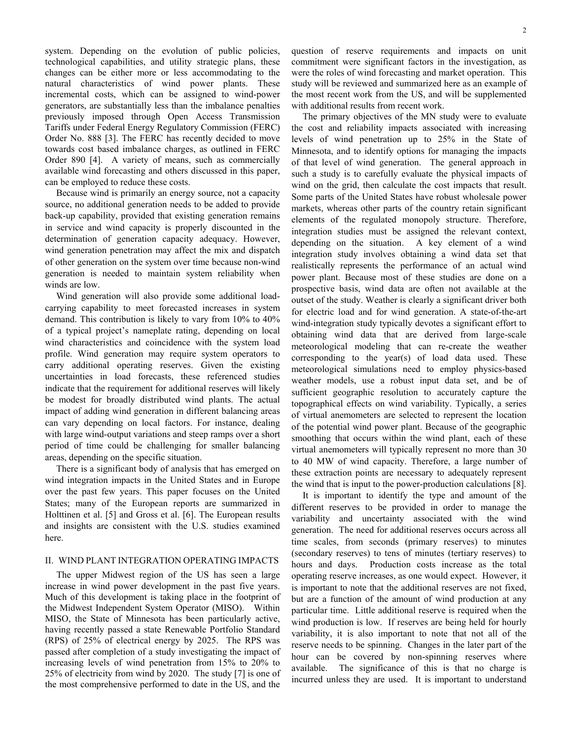system. Depending on the evolution of public policies, technological capabilities, and utility strategic plans, these changes can be either more or less accommodating to the natural characteristics of wind power plants. These incremental costs, which can be assigned to wind-power generators, are substantially less than the imbalance penalties previously imposed through Open Access Transmission Tariffs under Federal Energy Regulatory Commission (FERC) Order No. 888 [3]. The FERC has recently decided to move towards cost based imbalance charges, as outlined in FERC Order 890 [4]. A variety of means, such as commercially available wind forecasting and others discussed in this paper, can be employed to reduce these costs.

Because wind is primarily an energy source, not a capacity source, no additional generation needs to be added to provide back-up capability, provided that existing generation remains in service and wind capacity is properly discounted in the determination of generation capacity adequacy. However, wind generation penetration may affect the mix and dispatch of other generation on the system over time because non-wind generation is needed to maintain system reliability when winds are low.

Wind generation will also provide some additional loadcarrying capability to meet forecasted increases in system demand. This contribution is likely to vary from 10% to 40% of a typical project's nameplate rating, depending on local wind characteristics and coincidence with the system load profile. Wind generation may require system operators to carry additional operating reserves. Given the existing uncertainties in load forecasts, these referenced studies indicate that the requirement for additional reserves will likely be modest for broadly distributed wind plants. The actual impact of adding wind generation in different balancing areas can vary depending on local factors. For instance, dealing with large wind-output variations and steep ramps over a short period of time could be challenging for smaller balancing areas, depending on the specific situation.

There is a significant body of analysis that has emerged on wind integration impacts in the United States and in Europe over the past few years. This paper focuses on the United States; many of the European reports are summarized in Holttinen et al. [5] and Gross et al. [6]. The European results and insights are consistent with the U.S. studies examined here.

# II. WIND PLANT INTEGRATION OPERATING IMPACTS

The upper Midwest region of the US has seen a large increase in wind power development in the past five years. Much of this development is taking place in the footprint of the Midwest Independent System Operator (MISO). Within MISO, the State of Minnesota has been particularly active, having recently passed a state Renewable Portfolio Standard (RPS) of 25% of electrical energy by 2025. The RPS was passed after completion of a study investigating the impact of increasing levels of wind penetration from 15% to 20% to 25% of electricity from wind by 2020. The study [7] is one of the most comprehensive performed to date in the US, and the

question of reserve requirements and impacts on unit commitment were significant factors in the investigation, as were the roles of wind forecasting and market operation. This study will be reviewed and summarized here as an example of the most recent work from the US, and will be supplemented with additional results from recent work.

The primary objectives of the MN study were to evaluate the cost and reliability impacts associated with increasing levels of wind penetration up to 25% in the State of Minnesota, and to identify options for managing the impacts of that level of wind generation. The general approach in such a study is to carefully evaluate the physical impacts of wind on the grid, then calculate the cost impacts that result. Some parts of the United States have robust wholesale power markets, whereas other parts of the country retain significant elements of the regulated monopoly structure. Therefore, integration studies must be assigned the relevant context, depending on the situation. A key element of a wind integration study involves obtaining a wind data set that realistically represents the performance of an actual wind power plant. Because most of these studies are done on a prospective basis, wind data are often not available at the outset of the study. Weather is clearly a significant driver both for electric load and for wind generation. A state-of-the-art wind-integration study typically devotes a significant effort to obtaining wind data that are derived from large-scale meteorological modeling that can re-create the weather corresponding to the year(s) of load data used. These meteorological simulations need to employ physics-based weather models, use a robust input data set, and be of sufficient geographic resolution to accurately capture the topographical effects on wind variability. Typically, a series of virtual anemometers are selected to represent the location of the potential wind power plant. Because of the geographic smoothing that occurs within the wind plant, each of these virtual anemometers will typically represent no more than 30 to 40 MW of wind capacity. Therefore, a large number of these extraction points are necessary to adequately represent the wind that is input to the power-production calculations [8].

It is important to identify the type and amount of the different reserves to be provided in order to manage the variability and uncertainty associated with the wind generation. The need for additional reserves occurs across all time scales, from seconds (primary reserves) to minutes (secondary reserves) to tens of minutes (tertiary reserves) to hours and days. Production costs increase as the total operating reserve increases, as one would expect. However, it is important to note that the additional reserves are not fixed, but are a function of the amount of wind production at any particular time. Little additional reserve is required when the wind production is low. If reserves are being held for hourly variability, it is also important to note that not all of the reserve needs to be spinning. Changes in the later part of the hour can be covered by non-spinning reserves where available. The significance of this is that no charge is incurred unless they are used. It is important to understand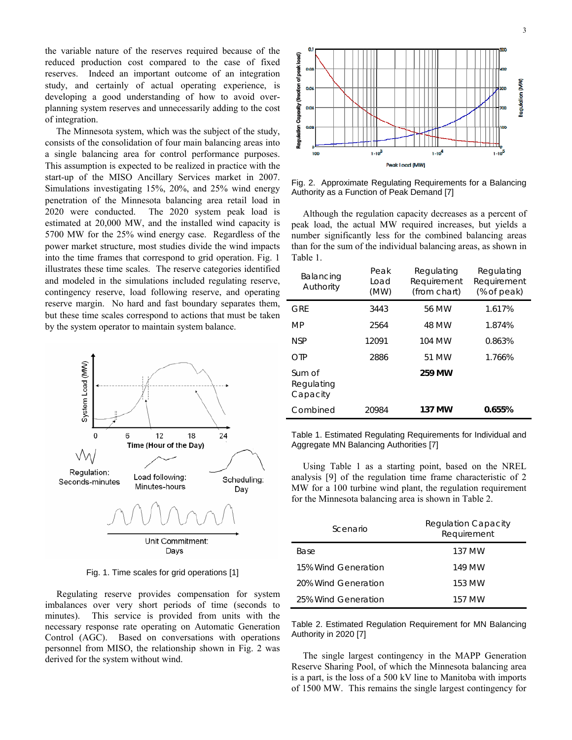the variable nature of the reserves required because of the reduced production cost compared to the case of fixed reserves. Indeed an important outcome of an integration study, and certainly of actual operating experience, is developing a good understanding of how to avoid overplanning system reserves and unnecessarily adding to the cost of integration.

The Minnesota system, which was the subject of the study, consists of the consolidation of four main balancing areas into a single balancing area for control performance purposes. This assumption is expected to be realized in practice with the start-up of the MISO Ancillary Services market in 2007. Simulations investigating 15%, 20%, and 25% wind energy penetration of the Minnesota balancing area retail load in 2020 were conducted. The 2020 system peak load is estimated at 20,000 MW, and the installed wind capacity is 5700 MW for the 25% wind energy case. Regardless of the power market structure, most studies divide the wind impacts into the time frames that correspond to grid operation. Fig. 1 illustrates these time scales. The reserve categories identified and modeled in the simulations included regulating reserve, contingency reserve, load following reserve, and operating reserve margin. No hard and fast boundary separates them, but these time scales correspond to actions that must be taken by the system operator to maintain system balance.



Fig. 1. Time scales for grid operations [1]

Regulating reserve provides compensation for system imbalances over very short periods of time (seconds to minutes). This service is provided from units with the necessary response rate operating on Automatic Generation Control (AGC). Based on conversations with operations personnel from MISO, the relationship shown in Fig. 2 was derived for the system without wind.



Fig. 2. Approximate Regulating Requirements for a Balancing Authority as a Function of Peak Demand [7]

Although the regulation capacity decreases as a percent of peak load, the actual MW required increases, but yields a number significantly less for the combined balancing areas than for the sum of the individual balancing areas, as shown in Table 1.

| Balancing<br>Authority           | Peak<br>Load<br>(MW) | Regulating<br>Requirement<br>(from chart) | Regulating<br>Requirement<br>$%$ of peak) |
|----------------------------------|----------------------|-------------------------------------------|-------------------------------------------|
| GRF                              | 3443                 | 56 MW                                     | 1.617%                                    |
| MP                               | 2564                 | 48 MW                                     | 1.874%                                    |
| <b>NSP</b>                       | 12091                | 104 MW                                    | 0.863%                                    |
| $\bigcirc$ tp                    | 2886                 | 51 MW                                     | 1.766%                                    |
| Sum of<br>Regulating<br>Capacity |                      | <b>259 MW</b>                             |                                           |
| Combined                         | 20984                | <b>137 MW</b>                             | 0.655%                                    |

Table 1. Estimated Regulating Requirements for Individual and Aggregate MN Balancing Authorities [7]

Using Table 1 as a starting point, based on the NREL analysis [9] of the regulation time frame characteristic of 2 MW for a 100 turbine wind plant, the regulation requirement for the Minnesota balancing area is shown in Table 2.

| Scenario            | <b>Regulation Capacity</b><br>Requirement |  |  |  |
|---------------------|-------------------------------------------|--|--|--|
| <b>Base</b>         | 137 MW                                    |  |  |  |
| 15% Wind Generation | 149 MW                                    |  |  |  |
| 20% Wind Generation | 153 MW                                    |  |  |  |
| 25% Wind Generation | 157 MW                                    |  |  |  |

Table 2. Estimated Regulation Requirement for MN Balancing Authority in 2020 [7]

The single largest contingency in the MAPP Generation Reserve Sharing Pool, of which the Minnesota balancing area is a part, is the loss of a 500 kV line to Manitoba with imports of 1500 MW. This remains the single largest contingency for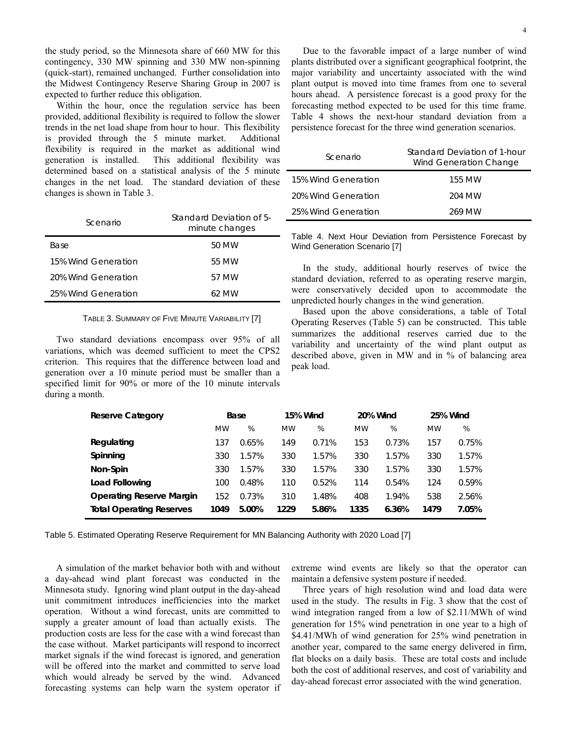the study period, so the Minnesota share of 660 MW for this contingency, 330 MW spinning and 330 MW non-spinning (quick-start), remained unchanged. Further consolidation into the Midwest Contingency Reserve Sharing Group in 2007 is expected to further reduce this obligation.

Within the hour, once the regulation service has been provided, additional flexibility is required to follow the slower trends in the net load shape from hour to hour. This flexibility is provided through the 5 minute market. Additional flexibility is required in the market as additional wind generation is installed. This additional flexibility was determined based on a statistical analysis of the 5 minute  $$ changes in the net load. The standard deviation of these changes is shown in Table 3.

Scenario Standard Deviation of 5 minute changes Base 50 MW 15% Wind Generation 55 MW 20% Wind Generation 57 MW 25% Wind Generation 62 MW

TABLE 3. SUMMARY OF FIVE MINUTE VARIABILITY [7]

Two standard deviations encompass over 95% of all variations, which was deemed sufficient to meet the CPS2 criterion. This requires that the difference between load and generation over a 10 minute period must be smaller than a specified limit for 90% or more of the 10 minute intervals during a month.

Due to the favorable impact of a large number of wind plants distributed over a significant geographical footprint, the major variability and uncertainty associated with the wind plant output is moved into time frames from one to several hours ahead. A persistence forecast is a good proxy for the forecasting method expected to be used for this time frame. Table 4 shows the next-hour standard deviation from a persistence forecast for the three wind generation scenarios.

| Scenario            | Standard Deviation of 1-hour<br>Wind Generation Change |  |  |  |
|---------------------|--------------------------------------------------------|--|--|--|
| 15% Wind Generation | 155 MW                                                 |  |  |  |
| 20% Wind Generation | 204 MW                                                 |  |  |  |
| 25% Wind Generation | 269 MW                                                 |  |  |  |

Table 4. Next Hour Deviation from Persistence Forecast by Wind Generation Scenario [7]

In the study, additional hourly reserves of twice the standard deviation, referred to as operating reserve margin, were conservatively decided upon to accommodate the unpredicted hourly changes in the wind generation.

Based upon the above considerations, a table of Total Operating Reserves (Table 5) can be constructed. This table summarizes the additional reserves carried due to the variability and uncertainty of the wind plant output as described above, given in MW and in % of balancing area peak load.

| <b>Reserve Category</b>         |           | Base  |           | <b>15% Wind</b> |           | <b>20% Wind</b> |           | <b>25% Wind</b> |
|---------------------------------|-----------|-------|-----------|-----------------|-----------|-----------------|-----------|-----------------|
|                                 | <b>MW</b> | %     | <b>MW</b> | %               | <b>MW</b> | %               | <b>MW</b> | %               |
| Regulating                      | 137       | 0.65% | 149       | 0.71%           | 153       | 0.73%           | 157       | 0.75%           |
| Spinning                        | 330       | 1.57% | 330       | 1.57%           | 330       | 1.57%           | 330       | 1.57%           |
| Non-Spin                        | 330       | 1.57% | 330       | 1.57%           | 330       | 1.57%           | 330       | 1.57%           |
| Load Following                  | 100       | 0.48% | 110       | 0.52%           | 114       | 0.54%           | 124       | 0.59%           |
| <b>Operating Reserve Margin</b> | 152       | 0.73% | 310       | 1.48%           | 408       | 1.94%           | 538       | 2.56%           |
| <b>Total Operating Reserves</b> | 1049      | 5.00% | 1229      | 5.86%           | 1335      | 6.36%           | 1479      | 7.05%           |

Table 5. Estimated Operating Reserve Requirement for MN Balancing Authority with 2020 Load [7]

A simulation of the market behavior both with and without a day-ahead wind plant forecast was conducted in the Minnesota study. Ignoring wind plant output in the day-ahead unit commitment introduces inefficiencies into the market operation. Without a wind forecast, units are committed to supply a greater amount of load than actually exists. The production costs are less for the case with a wind forecast than the case without. Market participants will respond to incorrect market signals if the wind forecast is ignored, and generation will be offered into the market and committed to serve load which would already be served by the wind. Advanced forecasting systems can help warn the system operator if

extreme wind events are likely so that the operator can maintain a defensive system posture if needed.

Three years of high resolution wind and load data were used in the study. The results in Fig. 3 show that the cost of wind integration ranged from a low of \$2.11/MWh of wind generation for 15% wind penetration in one year to a high of \$4.41/MWh of wind generation for 25% wind penetration in another year, compared to the same energy delivered in firm, flat blocks on a daily basis. These are total costs and include both the cost of additional reserves, and cost of variability and day-ahead forecast error associated with the wind generation.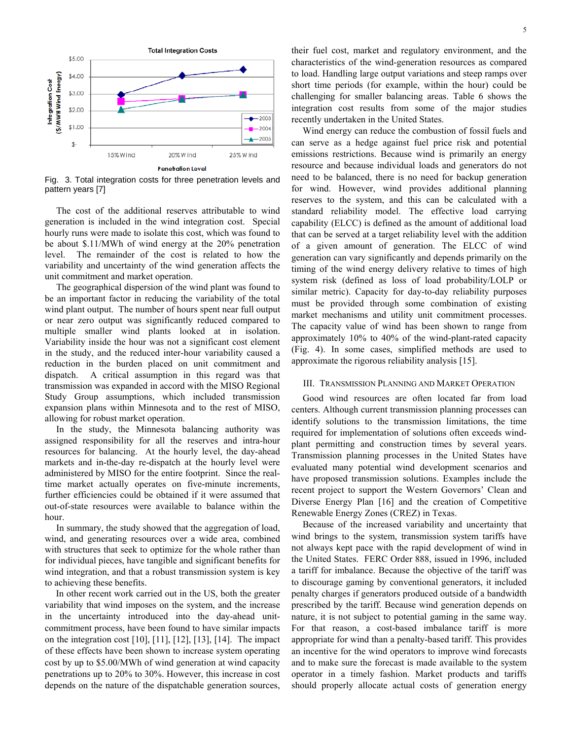

Fig. 3. Total integration costs for three penetration levels and pattern years [7]

The cost of the additional reserves attributable to wind generation is included in the wind integration cost. Special hourly runs were made to isolate this cost, which was found to be about \$.11/MWh of wind energy at the 20% penetration level. The remainder of the cost is related to how the variability and uncertainty of the wind generation affects the unit commitment and market operation.

The geographical dispersion of the wind plant was found to be an important factor in reducing the variability of the total wind plant output. The number of hours spent near full output or near zero output was significantly reduced compared to multiple smaller wind plants looked at in isolation. Variability inside the hour was not a significant cost element in the study, and the reduced inter-hour variability caused a reduction in the burden placed on unit commitment and dispatch. A critical assumption in this regard was that transmission was expanded in accord with the MISO Regional Study Group assumptions, which included transmission expansion plans within Minnesota and to the rest of MISO, allowing for robust market operation.

In the study, the Minnesota balancing authority was assigned responsibility for all the reserves and intra-hour resources for balancing. At the hourly level, the day-ahead markets and in-the-day re-dispatch at the hourly level were administered by MISO for the entire footprint. Since the realtime market actually operates on five-minute increments, further efficiencies could be obtained if it were assumed that out-of-state resources were available to balance within the hour.

In summary, the study showed that the aggregation of load, wind, and generating resources over a wide area, combined with structures that seek to optimize for the whole rather than for individual pieces, have tangible and significant benefits for wind integration, and that a robust transmission system is key to achieving these benefits.

In other recent work carried out in the US, both the greater variability that wind imposes on the system, and the increase in the uncertainty introduced into the day-ahead unitcommitment process, have been found to have similar impacts on the integration cost [10], [11], [12], [13], [14]. The impact of these effects have been shown to increase system operating cost by up to \$5.00/MWh of wind generation at wind capacity penetrations up to 20% to 30%. However, this increase in cost depends on the nature of the dispatchable generation sources,

their fuel cost, market and regulatory environment, and the characteristics of the wind-generation resources as compared to load. Handling large output variations and steep ramps over short time periods (for example, within the hour) could be challenging for smaller balancing areas. Table 6 shows the integration cost results from some of the major studies recently undertaken in the United States.

Wind energy can reduce the combustion of fossil fuels and can serve as a hedge against fuel price risk and potential emissions restrictions. Because wind is primarily an energy resource and because individual loads and generators do not need to be balanced, there is no need for backup generation for wind. However, wind provides additional planning reserves to the system, and this can be calculated with a standard reliability model. The effective load carrying capability (ELCC) is defined as the amount of additional load that can be served at a target reliability level with the addition of a given amount of generation. The ELCC of wind generation can vary significantly and depends primarily on the timing of the wind energy delivery relative to times of high system risk (defined as loss of load probability/LOLP or similar metric). Capacity for day-to-day reliability purposes must be provided through some combination of existing market mechanisms and utility unit commitment processes. The capacity value of wind has been shown to range from approximately 10% to 40% of the wind-plant-rated capacity (Fig. 4). In some cases, simplified methods are used to approximate the rigorous reliability analysis [15].

#### III. TRANSMISSION PLANNING AND MARKET OPERATION

Good wind resources are often located far from load centers. Although current transmission planning processes can identify solutions to the transmission limitations, the time required for implementation of solutions often exceeds windplant permitting and construction times by several years. Transmission planning processes in the United States have evaluated many potential wind development scenarios and have proposed transmission solutions. Examples include the recent project to support the Western Governors' Clean and Diverse Energy Plan [16] and the creation of Competitive Renewable Energy Zones (CREZ) in Texas.

Because of the increased variability and uncertainty that wind brings to the system, transmission system tariffs have not always kept pace with the rapid development of wind in the United States. FERC Order 888, issued in 1996, included a tariff for imbalance. Because the objective of the tariff was to discourage gaming by conventional generators, it included penalty charges if generators produced outside of a bandwidth prescribed by the tariff. Because wind generation depends on nature, it is not subject to potential gaming in the same way. For that reason, a cost-based imbalance tariff is more appropriate for wind than a penalty-based tariff. This provides an incentive for the wind operators to improve wind forecasts and to make sure the forecast is made available to the system operator in a timely fashion. Market products and tariffs should properly allocate actual costs of generation energy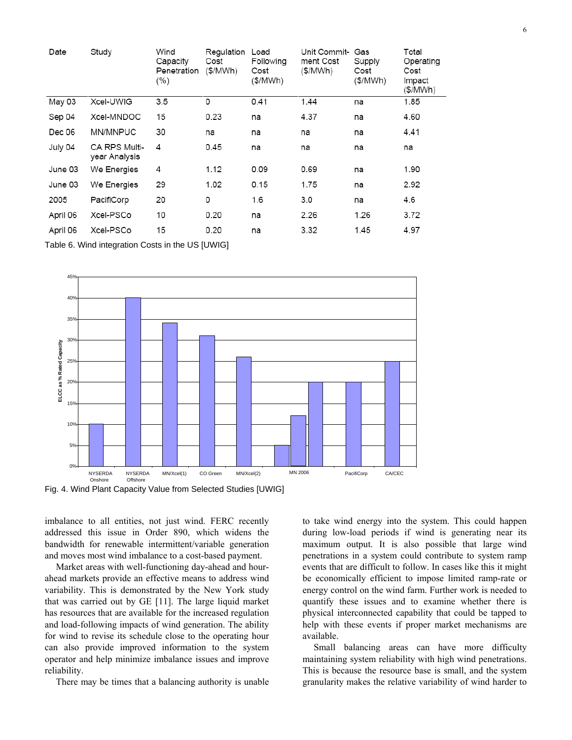| Study                          | Wind<br>Capacity<br>Penetration<br>(%) | Cost<br>(\$/MWh) | Load<br>Following<br>Cost<br>(\$/MWh) | ment Cost<br>(\$/MWh) | Gas<br>Supply<br>Cost<br>(S/MWh) | Total<br>Operating<br>Cost<br>Impact<br>(\$/MWh) |
|--------------------------------|----------------------------------------|------------------|---------------------------------------|-----------------------|----------------------------------|--------------------------------------------------|
| Xcel-UWIG                      | 3.5                                    | 0                | 0.41                                  | 1.44                  | na                               | 1.85                                             |
| Xcel-MNDOC                     | 15                                     | 0.23             | na                                    | 4.37                  | na                               | 4.60                                             |
| MN/MNPUC                       | 30                                     | na               | na                                    | na                    | na                               | 4.41                                             |
| CA RPS Multi-<br>year Analysis | 4                                      | 0.45             | na                                    | na                    | na                               | na                                               |
| We Energies                    | 4                                      | 1.12             | 0.09                                  | 0.69                  | na                               | 1.90                                             |
| We Energies                    | 29                                     | 1.02             | 0.15                                  | 1.75                  | na                               | 2.92                                             |
| PacifiCorp                     | 20                                     | 0                | 1.6                                   | 3.0                   | na                               | 4.6                                              |
| Xcel-PSCo                      | 10                                     | 0.20             | na                                    | 2.26                  | 1.26                             | 3.72                                             |
| Xcel-PSCo                      | 15                                     | 0.20             | na                                    | 3.32                  | 1.45                             | 4.97                                             |
|                                |                                        |                  |                                       | Regulation            |                                  | Unit Commit-                                     |

Table 6. Wind integration Costs in the US [UWIG]



Fig. 4. Wind Plant Capacity Value from Selected Studies [UWIG]

imbalance to all entities, not just wind. FERC recently addressed this issue in Order 890, which widens the bandwidth for renewable intermittent/variable generation and moves most wind imbalance to a cost-based payment.

Market areas with well-functioning day-ahead and hourahead markets provide an effective means to address wind variability. This is demonstrated by the New York study that was carried out by GE [11]. The large liquid market has resources that are available for the increased regulation and load-following impacts of wind generation. The ability for wind to revise its schedule close to the operating hour can also provide improved information to the system operator and help minimize imbalance issues and improve reliability.

There may be times that a balancing authority is unable

to take wind energy into the system. This could happen during low-load periods if wind is generating near its maximum output. It is also possible that large wind penetrations in a system could contribute to system ramp events that are difficult to follow. In cases like this it might be economically efficient to impose limited ramp-rate or energy control on the wind farm. Further work is needed to quantify these issues and to examine whether there is physical interconnected capability that could be tapped to help with these events if proper market mechanisms are available.

Small balancing areas can have more difficulty maintaining system reliability with high wind penetrations. This is because the resource base is small, and the system granularity makes the relative variability of wind harder to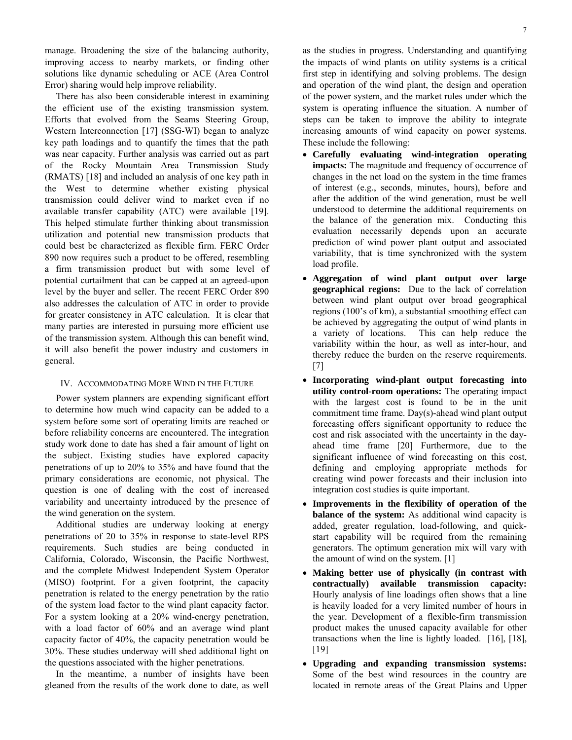manage. Broadening the size of the balancing authority, improving access to nearby markets, or finding other solutions like dynamic scheduling or ACE (Area Control Error) sharing would help improve reliability.

There has also been considerable interest in examining the efficient use of the existing transmission system. Efforts that evolved from the Seams Steering Group, Western Interconnection [17] (SSG-WI) began to analyze key path loadings and to quantify the times that the path was near capacity. Further analysis was carried out as part of the Rocky Mountain Area Transmission Study (RMATS) [18] and included an analysis of one key path in the West to determine whether existing physical transmission could deliver wind to market even if no available transfer capability (ATC) were available [19]. This helped stimulate further thinking about transmission utilization and potential new transmission products that could best be characterized as flexible firm. FERC Order 890 now requires such a product to be offered, resembling a firm transmission product but with some level of potential curtailment that can be capped at an agreed-upon level by the buyer and seller. The recent FERC Order 890 also addresses the calculation of ATC in order to provide for greater consistency in ATC calculation. It is clear that many parties are interested in pursuing more efficient use of the transmission system. Although this can benefit wind, it will also benefit the power industry and customers in general.

# IV. ACCOMMODATING MORE WIND IN THE FUTURE

Power system planners are expending significant effort to determine how much wind capacity can be added to a system before some sort of operating limits are reached or before reliability concerns are encountered. The integration study work done to date has shed a fair amount of light on the subject. Existing studies have explored capacity penetrations of up to 20% to 35% and have found that the primary considerations are economic, not physical. The question is one of dealing with the cost of increased variability and uncertainty introduced by the presence of the wind generation on the system.

Additional studies are underway looking at energy penetrations of 20 to 35% in response to state-level RPS requirements. Such studies are being conducted in California, Colorado, Wisconsin, the Pacific Northwest, and the complete Midwest Independent System Operator (MISO) footprint. For a given footprint, the capacity penetration is related to the energy penetration by the ratio of the system load factor to the wind plant capacity factor. For a system looking at a 20% wind-energy penetration, with a load factor of 60% and an average wind plant capacity factor of 40%, the capacity penetration would be 30%. These studies underway will shed additional light on the questions associated with the higher penetrations.

In the meantime, a number of insights have been gleaned from the results of the work done to date, as well as the studies in progress. Understanding and quantifying the impacts of wind plants on utility systems is a critical first step in identifying and solving problems. The design and operation of the wind plant, the design and operation of the power system, and the market rules under which the system is operating influence the situation. A number of steps can be taken to improve the ability to integrate increasing amounts of wind capacity on power systems. These include the following:

- **Carefully evaluating wind-integration operating impacts:** The magnitude and frequency of occurrence of changes in the net load on the system in the time frames of interest (e.g., seconds, minutes, hours), before and after the addition of the wind generation, must be well understood to determine the additional requirements on the balance of the generation mix. Conducting this evaluation necessarily depends upon an accurate prediction of wind power plant output and associated variability, that is time synchronized with the system load profile.
- **Aggregation of wind plant output over large geographical regions:** Due to the lack of correlation between wind plant output over broad geographical regions (100's of km), a substantial smoothing effect can be achieved by aggregating the output of wind plants in a variety of locations. This can help reduce the variability within the hour, as well as inter-hour, and thereby reduce the burden on the reserve requirements. [7]
- **Incorporating wind-plant output forecasting into utility control-room operations:** The operating impact with the largest cost is found to be in the unit commitment time frame. Day(s)-ahead wind plant output forecasting offers significant opportunity to reduce the cost and risk associated with the uncertainty in the dayahead time frame [20] Furthermore, due to the significant influence of wind forecasting on this cost, defining and employing appropriate methods for creating wind power forecasts and their inclusion into integration cost studies is quite important.
- **Improvements in the flexibility of operation of the balance of the system:** As additional wind capacity is added, greater regulation, load-following, and quickstart capability will be required from the remaining generators. The optimum generation mix will vary with the amount of wind on the system. [1]
- **Making better use of physically (in contrast with contractually) available transmission capacity:**  Hourly analysis of line loadings often shows that a line is heavily loaded for a very limited number of hours in the year. Development of a flexible-firm transmission product makes the unused capacity available for other transactions when the line is lightly loaded. [16], [18], [19]
- **Upgrading and expanding transmission systems:**  Some of the best wind resources in the country are located in remote areas of the Great Plains and Upper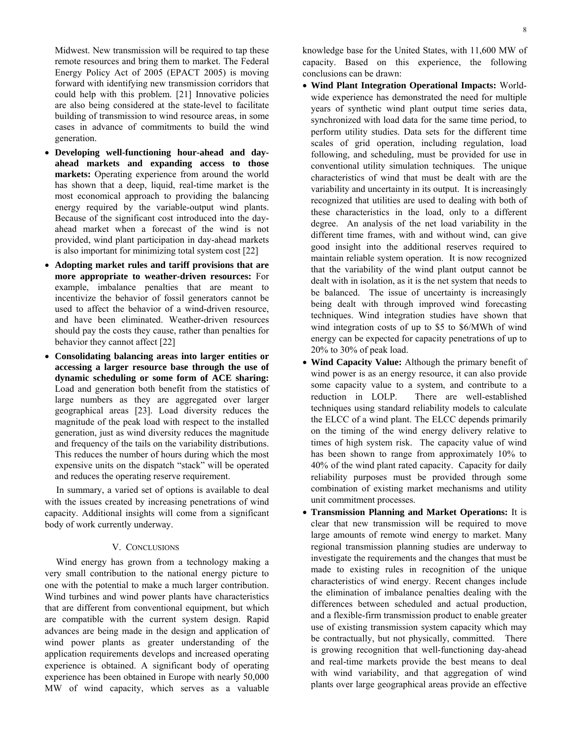Midwest. New transmission will be required to tap these remote resources and bring them to market. The Federal Energy Policy Act of 2005 (EPACT 2005) is moving forward with identifying new transmission corridors that could help with this problem. [21] Innovative policies are also being considered at the state-level to facilitate building of transmission to wind resource areas, in some cases in advance of commitments to build the wind generation.

- **Developing well-functioning hour-ahead and dayahead markets and expanding access to those markets:** Operating experience from around the world has shown that a deep, liquid, real-time market is the most economical approach to providing the balancing energy required by the variable-output wind plants. Because of the significant cost introduced into the dayahead market when a forecast of the wind is not provided, wind plant participation in day-ahead markets is also important for minimizing total system cost [22]
- **Adopting market rules and tariff provisions that are more appropriate to weather-driven resources:** For example, imbalance penalties that are meant to incentivize the behavior of fossil generators cannot be used to affect the behavior of a wind-driven resource, and have been eliminated. Weather-driven resources should pay the costs they cause, rather than penalties for behavior they cannot affect [22]
- **Consolidating balancing areas into larger entities or accessing a larger resource base through the use of dynamic scheduling or some form of ACE sharing:** Load and generation both benefit from the statistics of large numbers as they are aggregated over larger geographical areas [23]. Load diversity reduces the magnitude of the peak load with respect to the installed generation, just as wind diversity reduces the magnitude and frequency of the tails on the variability distributions. This reduces the number of hours during which the most expensive units on the dispatch "stack" will be operated and reduces the operating reserve requirement.

In summary, a varied set of options is available to deal with the issues created by increasing penetrations of wind capacity. Additional insights will come from a significant body of work currently underway.

# V. CONCLUSIONS

Wind energy has grown from a technology making a very small contribution to the national energy picture to one with the potential to make a much larger contribution. Wind turbines and wind power plants have characteristics that are different from conventional equipment, but which are compatible with the current system design. Rapid advances are being made in the design and application of wind power plants as greater understanding of the application requirements develops and increased operating experience is obtained. A significant body of operating experience has been obtained in Europe with nearly 50,000 MW of wind capacity, which serves as a valuable

knowledge base for the United States, with 11,600 MW of capacity. Based on this experience, the following conclusions can be drawn:

- **Wind Plant Integration Operational Impacts:** Worldwide experience has demonstrated the need for multiple years of synthetic wind plant output time series data, synchronized with load data for the same time period, to perform utility studies. Data sets for the different time scales of grid operation, including regulation, load following, and scheduling, must be provided for use in conventional utility simulation techniques. The unique characteristics of wind that must be dealt with are the variability and uncertainty in its output. It is increasingly recognized that utilities are used to dealing with both of these characteristics in the load, only to a different degree. An analysis of the net load variability in the different time frames, with and without wind, can give good insight into the additional reserves required to maintain reliable system operation. It is now recognized that the variability of the wind plant output cannot be dealt with in isolation, as it is the net system that needs to be balanced. The issue of uncertainty is increasingly being dealt with through improved wind forecasting techniques. Wind integration studies have shown that wind integration costs of up to \$5 to \$6/MWh of wind energy can be expected for capacity penetrations of up to 20% to 30% of peak load.
- **Wind Capacity Value:** Although the primary benefit of wind power is as an energy resource, it can also provide some capacity value to a system, and contribute to a reduction in LOLP. There are well-established techniques using standard reliability models to calculate the ELCC of a wind plant. The ELCC depends primarily on the timing of the wind energy delivery relative to times of high system risk. The capacity value of wind has been shown to range from approximately 10% to 40% of the wind plant rated capacity. Capacity for daily reliability purposes must be provided through some combination of existing market mechanisms and utility unit commitment processes.
- **Transmission Planning and Market Operations:** It is clear that new transmission will be required to move large amounts of remote wind energy to market. Many regional transmission planning studies are underway to investigate the requirements and the changes that must be made to existing rules in recognition of the unique characteristics of wind energy. Recent changes include the elimination of imbalance penalties dealing with the differences between scheduled and actual production, and a flexible-firm transmission product to enable greater use of existing transmission system capacity which may be contractually, but not physically, committed. There is growing recognition that well-functioning day-ahead and real-time markets provide the best means to deal with wind variability, and that aggregation of wind plants over large geographical areas provide an effective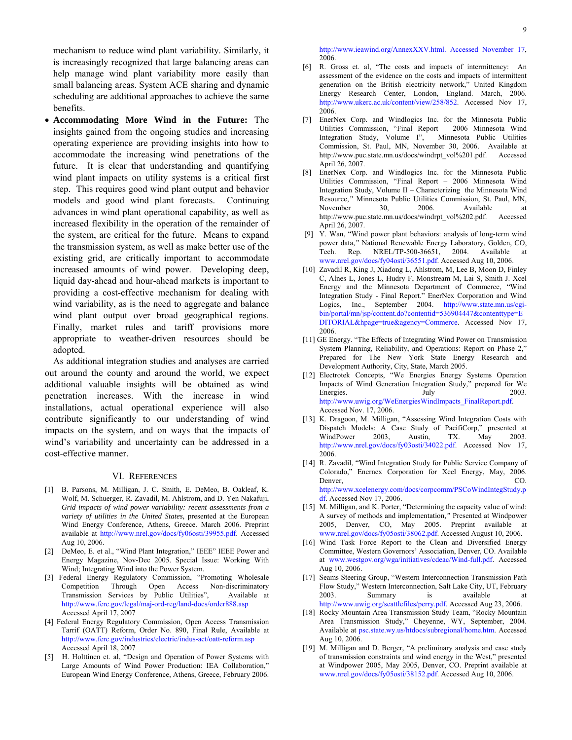mechanism to reduce wind plant variability. Similarly, it is increasingly recognized that large balancing areas can help manage wind plant variability more easily than small balancing areas. System ACE sharing and dynamic scheduling are additional approaches to achieve the same benefits.

• **Accommodating More Wind in the Future:** The insights gained from the ongoing studies and increasing operating experience are providing insights into how to accommodate the increasing wind penetrations of the future. It is clear that understanding and quantifying wind plant impacts on utility systems is a critical first step. This requires good wind plant output and behavior models and good wind plant forecasts. Continuing advances in wind plant operational capability, as well as increased flexibility in the operation of the remainder of the system, are critical for the future. Means to expand the transmission system, as well as make better use of the existing grid, are critically important to accommodate increased amounts of wind power. Developing deep, liquid day-ahead and hour-ahead markets is important to providing a cost-effective mechanism for dealing with wind variability, as is the need to aggregate and balance wind plant output over broad geographical regions. Finally, market rules and tariff provisions more appropriate to weather-driven resources should be adopted.

As additional integration studies and analyses are carried out around the county and around the world, we expect additional valuable insights will be obtained as wind penetration increases. With the increase in wind installations, actual operational experience will also contribute significantly to our understanding of wind impacts on the system, and on ways that the impacts of wind's variability and uncertainty can be addressed in a cost-effective manner.

# VI. REFERENCES

- [1] B. Parsons, M. Milligan, J. C. Smith, E. DeMeo, B. Oakleaf, K. Wolf, M. Schuerger, R. Zavadil, M. Ahlstrom, and D. Yen Nakafuji, *Grid impacts of wind power variability: recent assessments from a variety of utilities in the United States,* presented at the European Wind Energy Conference, Athens, Greece. March 2006. Preprint available at http://www.nrel.gov/docs/fy06osti/39955.pdf. Accessed Aug 10, 2006.
- [2] DeMeo, E. et al., "Wind Plant Integration," IEEE" IEEE Power and Energy Magazine, Nov-Dec 2005. Special Issue: Working With Wind; Integrating Wind into the Power System.
- [3] Federal Energy Regulatory Commission, "Promoting Wholesale Competition Through Open Access Non-discriminatory Transmission Services by Public Utilities", Available at http://www.ferc.gov/legal/maj-ord-reg/land-docs/order888.asp Accessed April 17, 2007
- [4] Federal Energy Regulatory Commission, Open Access Transmission Tarrif (OATT) Reform, Order No. 890, Final Rule, Available at http://www.ferc.gov/industries/electric/indus-act/oatt-reform.asp Accessed April 18, 2007
- [5] H. Holttinen et. al, "Design and Operation of Power Systems with Large Amounts of Wind Power Production: IEA Collaboration,' European Wind Energy Conference, Athens, Greece, February 2006.

http://www.ieawind.org/AnnexXXV.html. Accessed November 17, 2006.

- [6] R. Gross et. al, "The costs and impacts of intermittency: An assessment of the evidence on the costs and impacts of intermittent generation on the British electricity network," United Kingdom Energy Research Center, London, England. March, 2006. http://www.ukerc.ac.uk/content/view/258/852. Accessed Nov 17, 2006.
- [7] EnerNex Corp. and Windlogics Inc. for the Minnesota Public Utilities Commission, "Final Report – 2006 Minnesota Wind Integration Study, Volume I", Minnesota Public Utilities Commission, St. Paul, MN, November 30, 2006. Available at http://www.puc.state.mn.us/docs/windrpt\_vol%201.pdf. Accessed April 26, 2007.
- [8] EnerNex Corp. and Windlogics Inc. for the Minnesota Public Utilities Commission, "Final Report – 2006 Minnesota Wind Integration Study, Volume II – Characterizing the Minnesota Wind Resource,*"* Minnesota Public Utilities Commission, St. Paul, MN, November 30, 2006. Available at http://www.puc.state.mn.us/docs/windrpt\_vol%202.pdf. Accessed April 26, 2007.
- [9] Y. Wan, "Wind power plant behaviors: analysis of long-term wind power data*,"* National Renewable Energy Laboratory, Golden, CO, Tech. Rep. NREL/TP-500-36651, 2004. Available at www.nrel.gov/docs/fy04osti/36551.pdf. Accessed Aug 10, 2006.
- [10] Zavadil R, King J, Xiadong L, Ahlstrom, M, Lee B, Moon D, Finley C, Alnes L, Jones L, Hudry F, Monstream M, Lai S, Smith J. Xcel Energy and the Minnesota Department of Commerce, "Wind Integration Study - Final Report." EnerNex Corporation and Wind Logics, Inc., September 2004. http://www.state.mn.us/cgibin/portal/mn/jsp/content.do?contentid=536904447&contenttype=E DITORIAL&hpage=true&agency=Commerce. Accessed Nov 17, 2006.
- [11] GE Energy. "The Effects of Integrating Wind Power on Transmission System Planning, Reliability, and Operations: Report on Phase 2," Prepared for The New York State Energy Research and Development Authority, City, State, March 2005.
- [12] Electrotek Concepts, "We Energies Energy Systems Operation Impacts of Wind Generation Integration Study," prepared for We Energies. July 2003. http://www.uwig.org/WeEnergiesWindImpacts\_FinalReport.pdf. Accessed Nov. 17, 2006.
- [13] K. Dragoon, M. Milligan, "Assessing Wind Integration Costs with Dispatch Models: A Case Study of PacifiCorp," presented at WindPower 2003, Austin, TX. May 2003. http://www.nrel.gov/docs/fy03osti/34022.pdf. Accessed Nov 17, 2006.
- [14] R. Zavadil, "Wind Integration Study for Public Service Company of Colorado," Enernex Corporation for Xcel Energy, May, 2006. Denver, CO. http://www.xcelenergy.com/docs/corpcomm/PSCoWindIntegStudy.p df. Accessed Nov 17, 2006.
- [15] M. Milligan, and K. Porter, "Determining the capacity value of wind: A survey of methods and implementation*,"* Presented at Windpower 2005, Denver, CO, May 2005. Preprint available at www.nrel.gov/docs/fy05osti/38062.pdf. Accessed August 10, 2006.
- [16] Wind Task Force Report to the Clean and Diversified Energy Committee, Western Governors' Association, Denver, CO. Available at www.westgov.org/wga/initiatives/cdeac/Wind-full.pdf. Accessed Aug 10, 2006.
- [17] Seams Steering Group, "Western Interconnection Transmission Path Flow Study," Western Interconnection, Salt Lake City, UT, February Summary is available at http://www.uwig.org/seattlefiles/perry.pdf. Accessed Aug 23, 2006.
- [18] Rocky Mountain Area Transmission Study Team, "Rocky Mountain Area Transmission Study," Cheyenne, WY, September, 2004. Available at psc.state.wy.us/htdocs/subregional/home.htm. Accessed Aug 10, 2006.
- [19] M. Milligan and D. Berger, "A preliminary analysis and case study of transmission constraints and wind energy in the West," presented at Windpower 2005, May 2005, Denver, CO. Preprint available at www.nrel.gov/docs/fy05osti/38152.pdf. Accessed Aug 10, 2006.